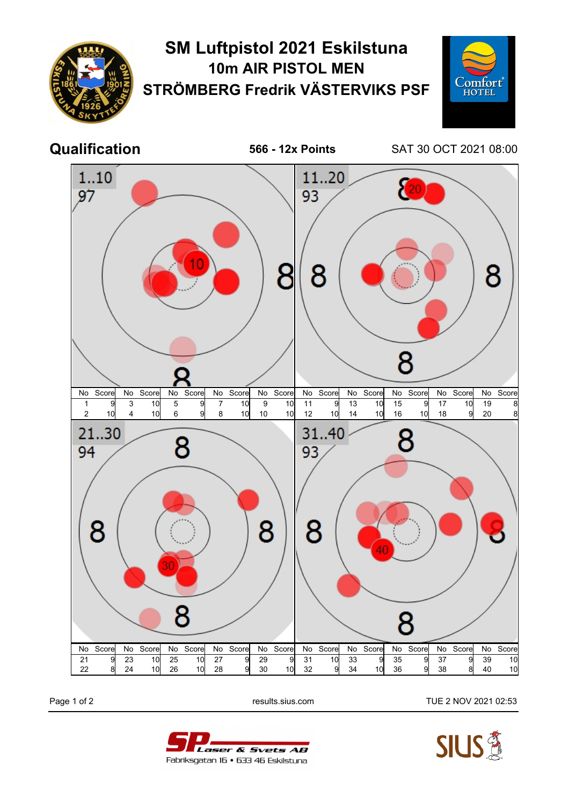

## **SM Luftpistol 2021 Eskilstuna 10m AIR PISTOL MEN STRÖMBERG Fredrik VÄSTERVIKS PSF**



**Qualification 566 - 12x Points** SAT 30 OCT 2021 08:00



Page 1 of 2 **Page 1 of 2** results.sius.com TUE 2 NOV 2021 02:53